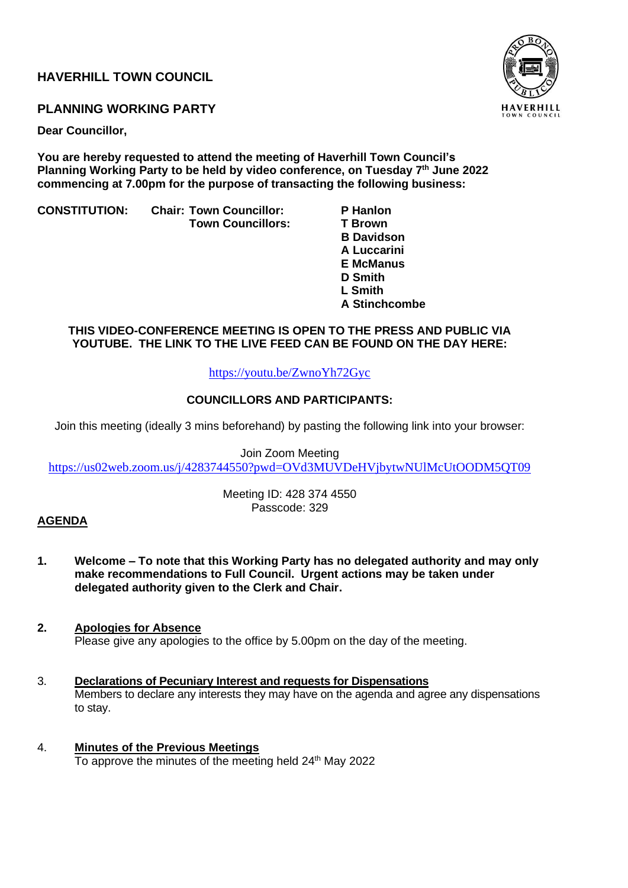## **HAVERHILL TOWN COUNCIL**



## **PLANNING WORKING PARTY**

**Dear Councillor,** 

**You are hereby requested to attend the meeting of Haverhill Town Council's Planning Working Party to be held by video conference, on Tuesday 7 th June 2022 commencing at 7.00pm for the purpose of transacting the following business:**

**CONSTITUTION: Chair: Town Councillor: P Hanlon Town Councillors:** 

 **B Davidson A Luccarini E McManus D Smith L Smith A Stinchcombe**

## **THIS VIDEO-CONFERENCE MEETING IS OPEN TO THE PRESS AND PUBLIC VIA YOUTUBE. THE LINK TO THE LIVE FEED CAN BE FOUND ON THE DAY HERE:**

<https://youtu.be/ZwnoYh72Gyc>

## **COUNCILLORS AND PARTICIPANTS:**

Join this meeting (ideally 3 mins beforehand) by pasting the following link into your browser:

Join Zoom Meeting <https://us02web.zoom.us/j/4283744550?pwd=OVd3MUVDeHVjbytwNUlMcUtOODM5QT09>

> Meeting ID: 428 374 4550 Passcode: 329

## **AGENDA**

- **1. Welcome – To note that this Working Party has no delegated authority and may only make recommendations to Full Council. Urgent actions may be taken under delegated authority given to the Clerk and Chair.**
- **2. Apologies for Absence** Please give any apologies to the office by 5.00pm on the day of the meeting.
- 3. **Declarations of Pecuniary Interest and requests for Dispensations** Members to declare any interests they may have on the agenda and agree any dispensations to stay.
- 4. **Minutes of the Previous Meetings** To approve the minutes of the meeting held 24<sup>th</sup> May 2022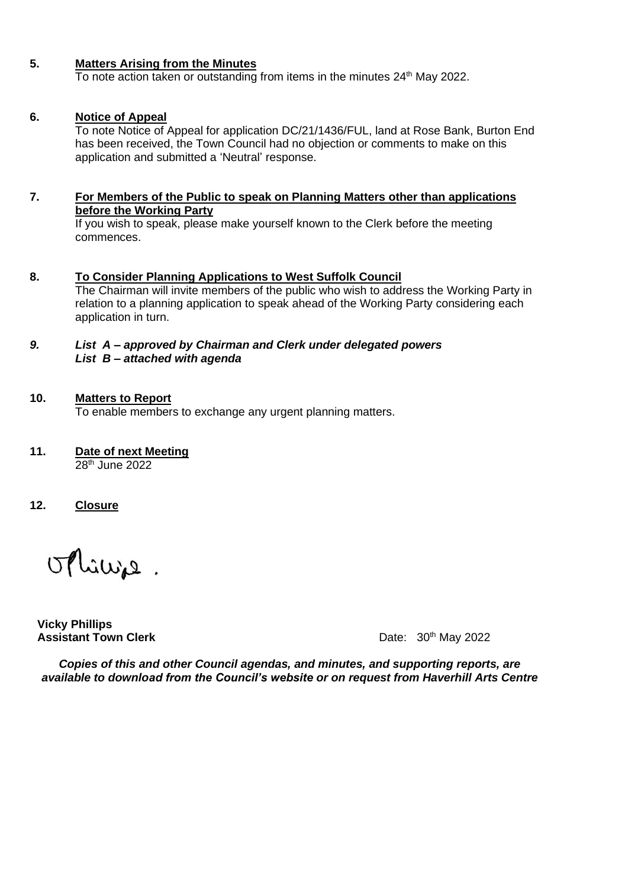## **5. Matters Arising from the Minutes**

To note action taken or outstanding from items in the minutes  $24<sup>th</sup>$  May 2022.

#### **6. Notice of Appeal**

To note Notice of Appeal for application DC/21/1436/FUL, land at Rose Bank, Burton End has been received, the Town Council had no objection or comments to make on this application and submitted a 'Neutral' response.

#### **7. For Members of the Public to speak on Planning Matters other than applications before the Working Party**

If you wish to speak, please make yourself known to the Clerk before the meeting commences.

**8. To Consider Planning Applications to West Suffolk Council** The Chairman will invite members of the public who wish to address the Working Party in relation to a planning application to speak ahead of the Working Party considering each application in turn.

## *9. List A – approved by Chairman and Clerk under delegated powers List B – attached with agenda*

#### **10. Matters to Report**

To enable members to exchange any urgent planning matters.

**11. Date of next Meeting**

28th June 2022

**12. Closure**

Minie.

**Vicky Phillips Assistant Town Clerk Cleanual Clerk** Date: 30<sup>th</sup> May 2022

*Copies of this and other Council agendas, and minutes, and supporting reports, are available to download from the Council's website or on request from Haverhill Arts Centre*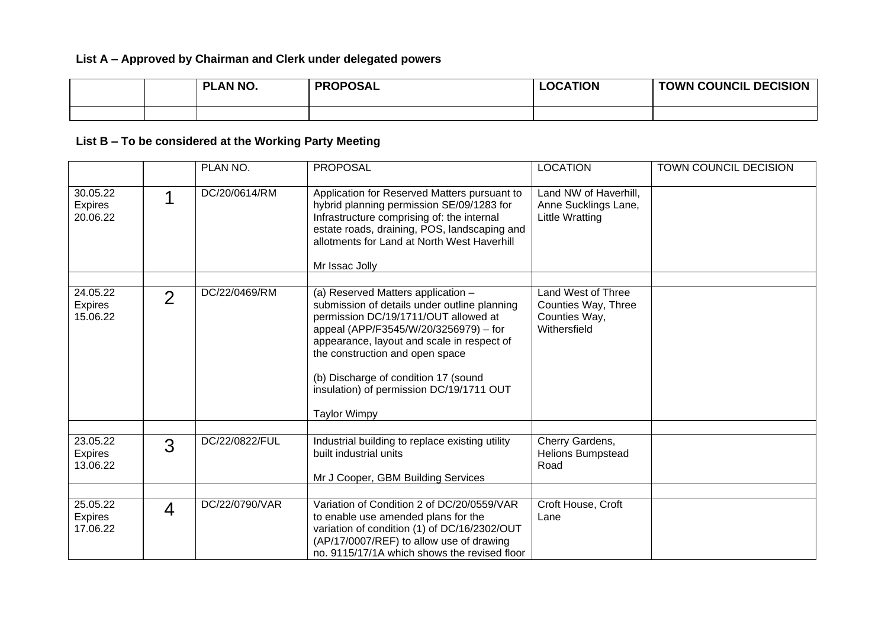## **List A – Approved by Chairman and Clerk under delegated powers**

|  | PLAN NO. | <b>PROPOSAL</b> | <b>LOCATION</b> | <b>TOWN COUNCIL DECISION</b> |
|--|----------|-----------------|-----------------|------------------------------|
|  |          |                 |                 |                              |

# **List B – To be considered at the Working Party Meeting**

|                                        |                | PLAN NO.       | <b>PROPOSAL</b>                                                                                                                                                                                                                                                                                                                                                 | <b>LOCATION</b>                                                            | TOWN COUNCIL DECISION |
|----------------------------------------|----------------|----------------|-----------------------------------------------------------------------------------------------------------------------------------------------------------------------------------------------------------------------------------------------------------------------------------------------------------------------------------------------------------------|----------------------------------------------------------------------------|-----------------------|
| 30.05.22<br><b>Expires</b><br>20.06.22 |                | DC/20/0614/RM  | Application for Reserved Matters pursuant to<br>hybrid planning permission SE/09/1283 for<br>Infrastructure comprising of: the internal<br>estate roads, draining, POS, landscaping and<br>allotments for Land at North West Haverhill<br>Mr Issac Jolly                                                                                                        | Land NW of Haverhill,<br>Anne Sucklings Lane,<br><b>Little Wratting</b>    |                       |
| 24.05.22<br><b>Expires</b><br>15.06.22 | $\overline{2}$ | DC/22/0469/RM  | (a) Reserved Matters application -<br>submission of details under outline planning<br>permission DC/19/1711/OUT allowed at<br>appeal (APP/F3545/W/20/3256979) - for<br>appearance, layout and scale in respect of<br>the construction and open space<br>(b) Discharge of condition 17 (sound<br>insulation) of permission DC/19/1711 OUT<br><b>Taylor Wimpy</b> | Land West of Three<br>Counties Way, Three<br>Counties Way,<br>Withersfield |                       |
| 23.05.22<br><b>Expires</b><br>13.06.22 | 3              | DC/22/0822/FUL | Industrial building to replace existing utility<br>built industrial units<br>Mr J Cooper, GBM Building Services                                                                                                                                                                                                                                                 | Cherry Gardens,<br>Helions Bumpstead<br>Road                               |                       |
| 25.05.22<br><b>Expires</b><br>17.06.22 | $\overline{4}$ | DC/22/0790/VAR | Variation of Condition 2 of DC/20/0559/VAR<br>to enable use amended plans for the<br>variation of condition (1) of DC/16/2302/OUT<br>(AP/17/0007/REF) to allow use of drawing<br>no. 9115/17/1A which shows the revised floor                                                                                                                                   | Croft House, Croft<br>Lane                                                 |                       |